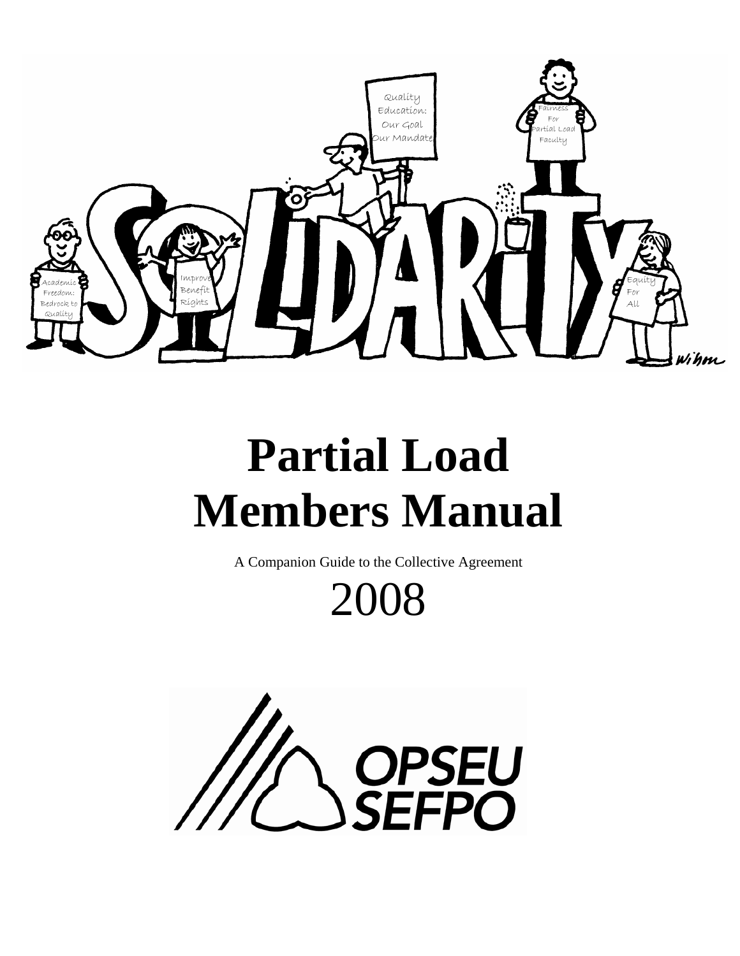

# **Partial Load Members Manual**

A Companion Guide to the Collective Agreement  $2008$ 

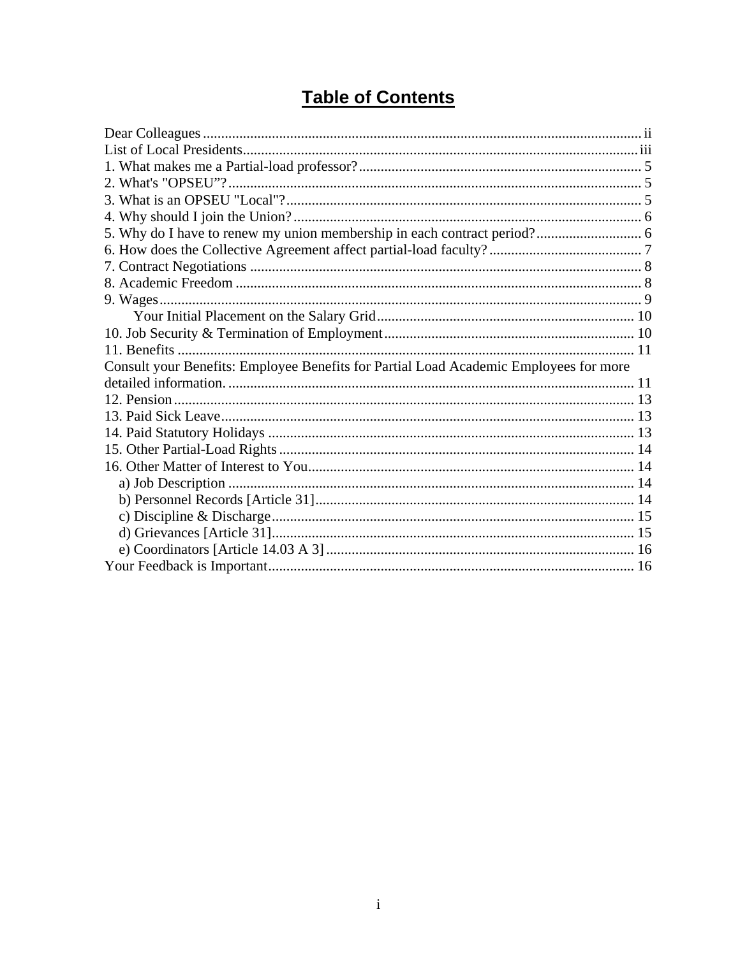### **Table of Contents**

| Consult your Benefits: Employee Benefits for Partial Load Academic Employees for more |  |
|---------------------------------------------------------------------------------------|--|
|                                                                                       |  |
|                                                                                       |  |
|                                                                                       |  |
|                                                                                       |  |
|                                                                                       |  |
|                                                                                       |  |
|                                                                                       |  |
|                                                                                       |  |
|                                                                                       |  |
|                                                                                       |  |
|                                                                                       |  |
|                                                                                       |  |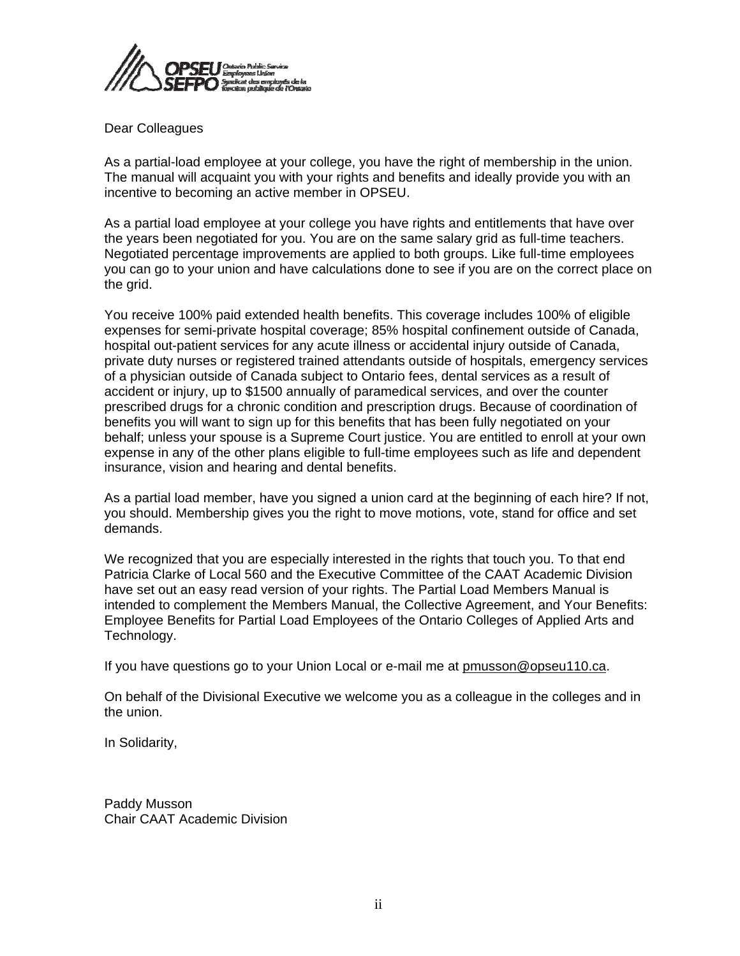<span id="page-2-0"></span>

#### Dear Colleagues

As a partial-load employee at your college, you have the right of membership in the union. The manual will acquaint you with your rights and benefits and ideally provide you with an incentive to becoming an active member in OPSEU.

As a partial load employee at your college you have rights and entitlements that have over the years been negotiated for you. You are on the same salary grid as full-time teachers. Negotiated percentage improvements are applied to both groups. Like full-time employees you can go to your union and have calculations done to see if you are on the correct place on the grid.

You receive 100% paid extended health benefits. This coverage includes 100% of eligible expenses for semi-private hospital coverage; 85% hospital confinement outside of Canada, hospital out-patient services for any acute illness or accidental injury outside of Canada, private duty nurses or registered trained attendants outside of hospitals, emergency services of a physician outside of Canada subject to Ontario fees, dental services as a result of accident or injury, up to \$1500 annually of paramedical services, and over the counter prescribed drugs for a chronic condition and prescription drugs. Because of coordination of benefits you will want to sign up for this benefits that has been fully negotiated on your behalf; unless your spouse is a Supreme Court justice. You are entitled to enroll at your own expense in any of the other plans eligible to full-time employees such as life and dependent insurance, vision and hearing and dental benefits.

As a partial load member, have you signed a union card at the beginning of each hire? If not, you should. Membership gives you the right to move motions, vote, stand for office and set demands.

We recognized that you are especially interested in the rights that touch you. To that end Patricia Clarke of Local 560 and the Executive Committee of the CAAT Academic Division have set out an easy read version of your rights. The Partial Load Members Manual is intended to complement the Members Manual, the Collective Agreement, and Your Benefits: Employee Benefits for Partial Load Employees of the Ontario Colleges of Applied Arts and Technology.

If you have questions go to your Union Local or e-mail me at [pmusson@opseu110.ca.](mailto:pmusson@opseu110.ca)

On behalf of the Divisional Executive we welcome you as a colleague in the colleges and in the union.

In Solidarity,

Paddy Musson Chair CAAT Academic Division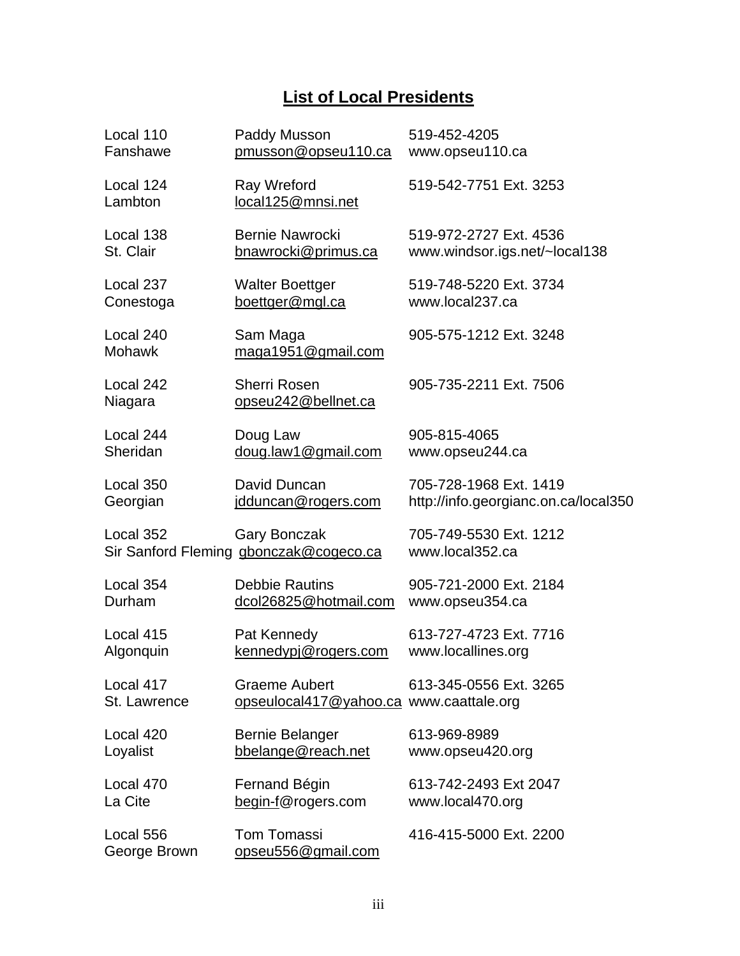### **List of Local Presidents**

<span id="page-3-0"></span>

| Local 110                  | Paddy Musson                                                    | 519-452-4205                              |
|----------------------------|-----------------------------------------------------------------|-------------------------------------------|
| Fanshawe                   | pmusson@opseu110.ca                                             | www.opseu110.ca                           |
| Local 124<br>Lambton       | Ray Wreford<br>local125@mnsi.net                                | 519-542-7751 Ext. 3253                    |
| Local 138                  | <b>Bernie Nawrocki</b>                                          | 519-972-2727 Ext. 4536                    |
| St. Clair                  | bnawrocki@primus.ca                                             | www.windsor.igs.net/~local138             |
| Local 237                  | <b>Walter Boettger</b>                                          | 519-748-5220 Ext. 3734                    |
| Conestoga                  | boettger@mgl.ca                                                 | www.local237.ca                           |
| Local 240<br><b>Mohawk</b> | Sam Maga<br>maga1951@gmail.com                                  | 905-575-1212 Ext. 3248                    |
| Local 242<br>Niagara       | <b>Sherri Rosen</b><br>opseu242@bellnet.ca                      | 905-735-2211 Ext. 7506                    |
| Local 244                  | Doug Law                                                        | 905-815-4065                              |
| Sheridan                   | doug.law1@gmail.com                                             | www.opseu244.ca                           |
| Local 350                  | David Duncan                                                    | 705-728-1968 Ext. 1419                    |
| Georgian                   | idduncan@rogers.com                                             | http://info.georgianc.on.ca/local350      |
| Local 352                  | <b>Gary Bonczak</b><br>Sir Sanford Fleming gbonczak@cogeco.ca   | 705-749-5530 Ext. 1212<br>www.local352.ca |
| Local 354                  | <b>Debbie Rautins</b>                                           | 905-721-2000 Ext. 2184                    |
| Durham                     | dcol26825@hotmail.com                                           | www.opseu354.ca                           |
| Local 415                  | Pat Kennedy                                                     | 613-727-4723 Ext. 7716                    |
| Algonquin                  | kennedypj@rogers.com                                            | www.locallines.org                        |
| Local 417<br>St. Lawrence  | <b>Graeme Aubert</b><br>opseulocal417@yahoo.ca www.caattale.org | 613-345-0556 Ext. 3265                    |
| Local 420                  | Bernie Belanger                                                 | 613-969-8989                              |
| Loyalist                   | bbelange@reach.net                                              | www.opseu420.org                          |
| Local 470                  | Fernand Bégin                                                   | 613-742-2493 Ext 2047                     |
| La Cite                    | begin-f@rogers.com                                              | www.local470.org                          |
| Local 556<br>George Brown  | <b>Tom Tomassi</b><br>opseu556@gmail.com                        | 416-415-5000 Ext. 2200                    |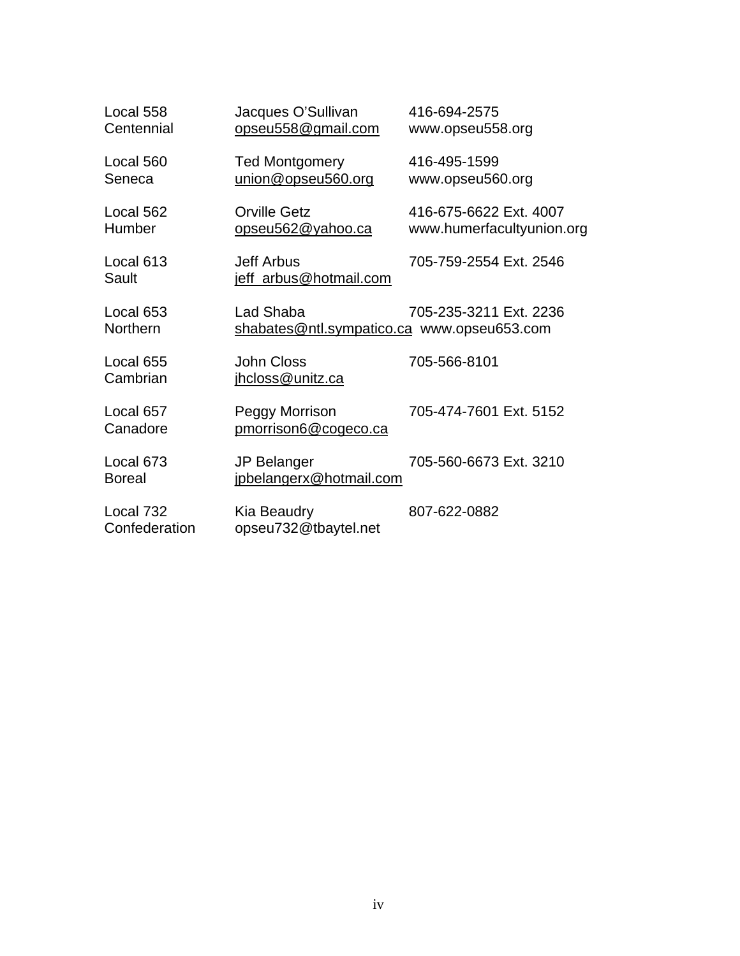| Local 558<br>Centennial    | Jacques O'Sullivan<br>opseu558@gmail.com                | 416-694-2575<br>www.opseu558.org                    |  |  |
|----------------------------|---------------------------------------------------------|-----------------------------------------------------|--|--|
| Local 560<br>Seneca        | <b>Ted Montgomery</b><br>union@opseu560.org             | 416-495-1599<br>www.opseu560.org                    |  |  |
| Local 562<br>Humber        | <b>Orville Getz</b><br><u>opseu562@yahoo.ca</u>         | 416-675-6622 Ext. 4007<br>www.humerfacultyunion.org |  |  |
| Local 613<br>Sault         | <b>Jeff Arbus</b><br>jeff_arbus@hotmail.com             | 705-759-2554 Ext. 2546                              |  |  |
| Local 653<br>Northern      | Lad Shaba<br>shabates@ntl.sympatico.ca www.opseu653.com | 705-235-3211 Ext. 2236                              |  |  |
| Local 655<br>Cambrian      | <b>John Closs</b><br>ihcloss@unitz.ca                   | 705-566-8101                                        |  |  |
| Local 657<br>Canadore      | Peggy Morrison<br>pmorrison6@cogeco.ca                  | 705-474-7601 Ext. 5152                              |  |  |
| Local 673<br><b>Boreal</b> | <b>JP Belanger</b><br>jpbelangerx@hotmail.com           | 705-560-6673 Ext. 3210                              |  |  |
| Local 732<br>Confederation | Kia Beaudry<br>opseu732@tbaytel.net                     | 807-622-0882                                        |  |  |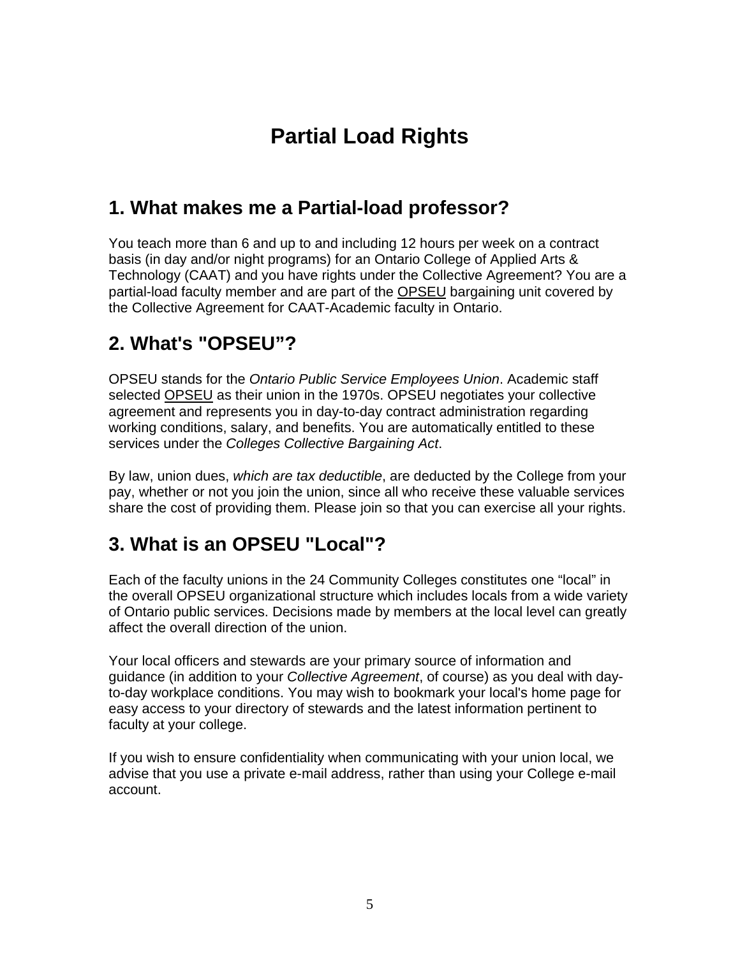## **Partial Load Rights**

### <span id="page-5-0"></span>**1. What makes me a Partial-load professor?**

You teach more than 6 and up to and including 12 hours per week on a contract basis (in day and/or night programs) for an Ontario College of Applied Arts & Technology (CAAT) and you have rights under the Collective Agreement? You are a partial-load faculty member and are part of the [OPSEU](http://www.opseu.org/) bargaining unit covered by the Collective Agreement for CAAT-Academic faculty in Ontario.

### **2. What's "OPSEU"?**

OPSEU stands for the *Ontario Public Service Employees Union*. Academic staff selected [OPSEU](http://www.opseu.org/) as their union in the 1970s. OPSEU negotiates your collective agreement and represents you in day-to-day contract administration regarding working conditions, salary, and benefits. You are automatically entitled to these services under the *Colleges Collective Bargaining Act*.

By law, union dues, *which are tax deductible*, are deducted by the College from your pay, whether or not you join the union, since all who receive these valuable services share the cost of providing them. Please join so that you can exercise all your rights.

### **3. What is an OPSEU "Local"?**

Each of the faculty unions in the 24 Community Colleges constitutes one "local" in the overall OPSEU organizational structure which includes locals from a wide variety of Ontario public services. Decisions made by members at the local level can greatly affect the overall direction of the union.

Your local officers and stewards are your primary source of information and guidance (in addition to your *Collective Agreement*, of course) as you deal with dayto-day workplace conditions. You may wish to bookmark your local's home page for easy access to your directory of stewards and the latest information pertinent to faculty at your college.

If you wish to ensure confidentiality when communicating with your union local, we advise that you use a private e-mail address, rather than using your College e-mail account.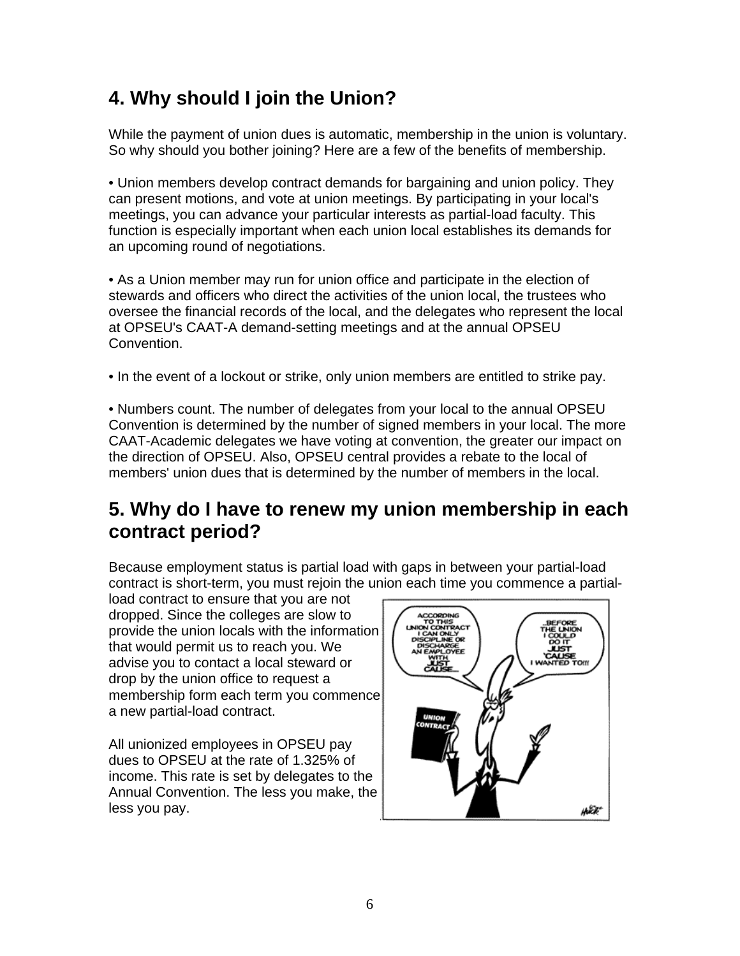### <span id="page-6-0"></span>**4. Why should I join the Union?**

While the payment of union dues is automatic, membership in the union is voluntary. So why should you bother joining? Here are a few of the benefits of membership.

• Union members develop contract demands for bargaining and union policy. They can present motions, and vote at union meetings. By participating in your local's meetings, you can advance your particular interests as partial-load faculty. This function is especially important when each union local establishes its demands for an upcoming round of negotiations.

• As a Union member may run for union office and participate in the election of stewards and officers who direct the activities of the union local, the trustees who oversee the financial records of the local, and the delegates who represent the local at OPSEU's CAAT-A demand-setting meetings and at the annual OPSEU Convention.

• In the event of a lockout or strike, only union members are entitled to strike pay.

• Numbers count. The number of delegates from your local to the annual OPSEU Convention is determined by the number of signed members in your local. The more CAAT-Academic delegates we have voting at convention, the greater our impact on the direction of OPSEU. Also, OPSEU central provides a rebate to the local of members' union dues that is determined by the number of members in the local.

### **5. Why do I have to renew my union membership in each contract period?**

Because employment status is partial load with gaps in between your partial-load contract is short-term, you must rejoin the union each time you commence a partial-

load contract to ensure that you are not dropped. Since the colleges are slow to provide the union locals with the information that would permit us to reach you. We advise you to contact a local steward or drop by the union office to request a membership form each term you c ommence a new partial-load contract .

All unionized employees in OPSEU pay dues to OPSEU at the rate of 1.325% of income. This rate is set by delegates to the Annual Convention. The less you make, the less you pay.

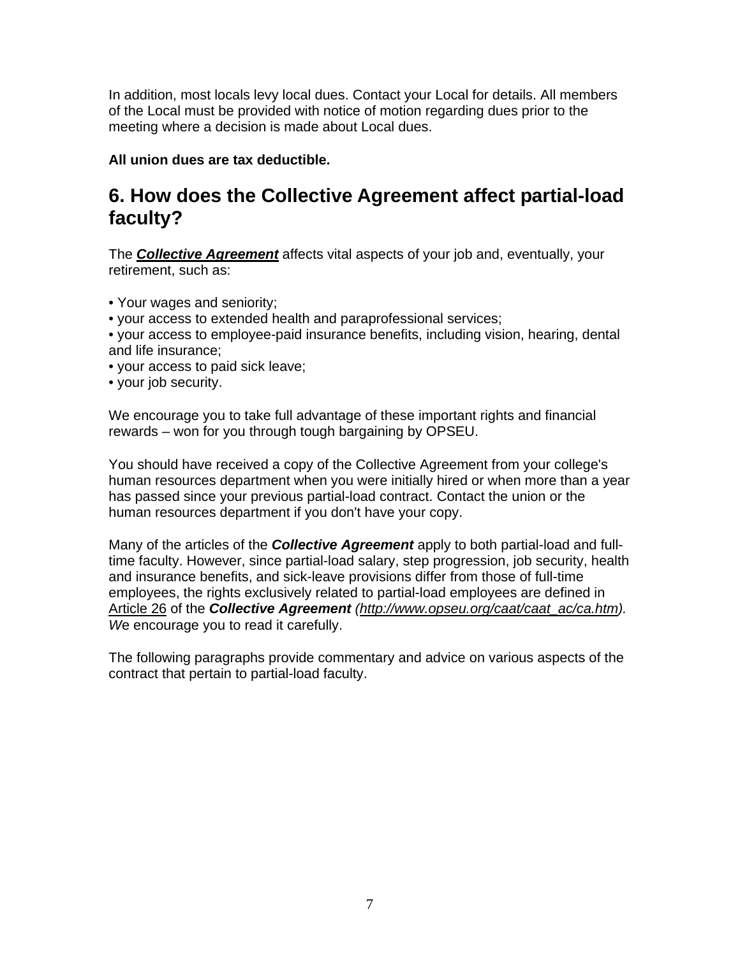<span id="page-7-0"></span>In addition, most locals levy local dues. Contact your Local for details. All members of the Local must be provided with notice of motion regarding dues prior to the meeting where a decision is made about Local dues.

**All union dues are tax deductible.** 

### **6. How does the Collective Agreement affect partial-load faculty?**

The *[Collective Agreement](http://www.opseu.org/caat/caat_ac/ca.htm)* affects vital aspects of your job and, eventually, your retirement, such as:

- Your wages and seniority;
- your access to extended health and paraprofessional services;
- your access to employee-paid insurance benefits, including vision, hearing, dental and life insurance;
- your access to paid sick leave;
- your job security.

We encourage you to take full advantage of these important rights and financial rewards – won for you through tough bargaining by OPSEU.

You should have received a copy of the Collective Agreement from your college's human resources department when you were initially hired or when more than a year has passed since your previous partial-load contract. Contact the union or the human resources department if you don't have your copy.

Many of the articles of the *Collective Agreement* apply to both partial-load and fulltime faculty. However, since partial-load salary, step progression, job security, health and insurance benefits, and sick-leave provisions differ from those of full-time employees, the rights exclusively related to partial-load employees are defined in [Article 26](http://www.opseu.org/caat/caat_ac/ca.htm) of the *Collective Agreement ([http://www.opseu.org/caat/caat\\_ac/ca.htm\)](http://www.opseu.org/caat/caat_ac/ca.htm). W*e encourage you to read it carefully.

The following paragraphs provide commentary and advice on various aspects of the contract that pertain to partial-load faculty.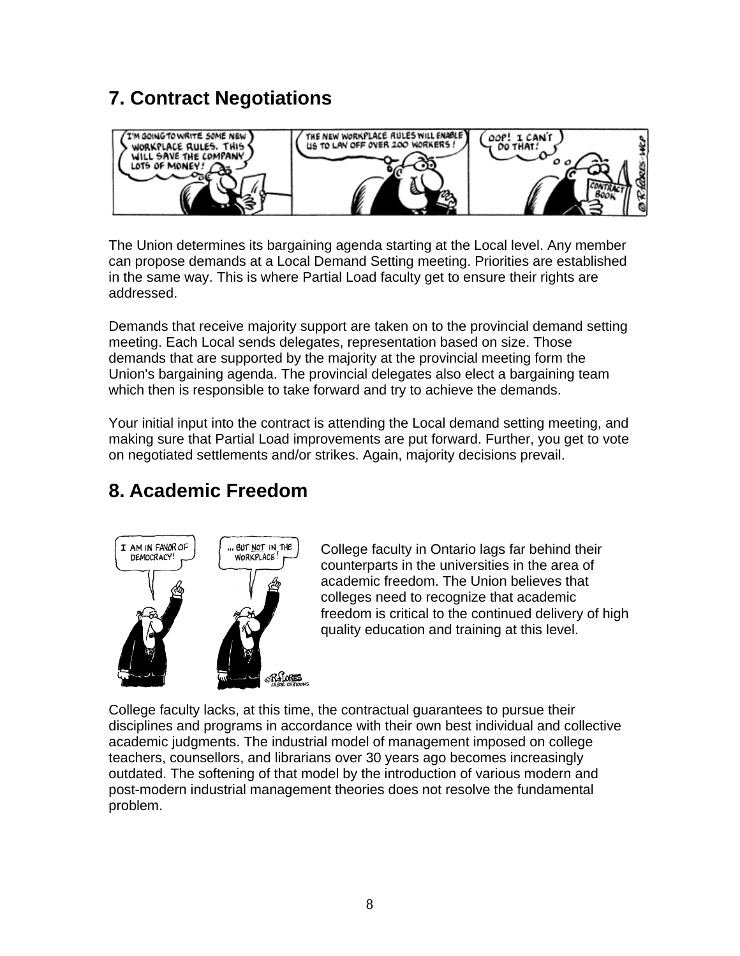### <span id="page-8-0"></span>**7. Contract Negotiations**



The Union determines its bargaining agenda starting at the Local level. Any member can propose demands at a Local Demand Setting meeting. Priorities are established in the same way. This is where Partial Load faculty get to ensure their rights are addressed.

Demands that receive majority support are taken on to the provincial demand setting meeting. Each Local sends delegates, representation based on size. Those demands that are supported by the majority at the provincial meeting form the Union's bargaining agenda. The provincial delegates also elect a bargaining team which then is responsible to take forward and try to achieve the demands.

Your initial input into the contract is attending the Local demand setting meeting, and making sure that Partial Load improvements are put forward. Further, you get to vote on negotiated settlements and/or strikes. Again, majority decisions prevail.

### **8. Academic Freedom**



College faculty in Ontario lags far behind their counterparts in the universities in the area of academic freedom. The Union believes that colleges need to recognize that academic freedom is critical to the continued delivery of high quality education and training at this level.

College faculty lacks, at this time, the contractual guarantees to pursue their disciplines and programs in accordance with their own best individual and collective academic judgments. The industrial model of management imposed on college teachers, counsellors, and librarians over 30 years ago becomes increasingly outdated. The softening of that model by the introduction of various modern and post-modern industrial management theories does not resolve the fundamental problem.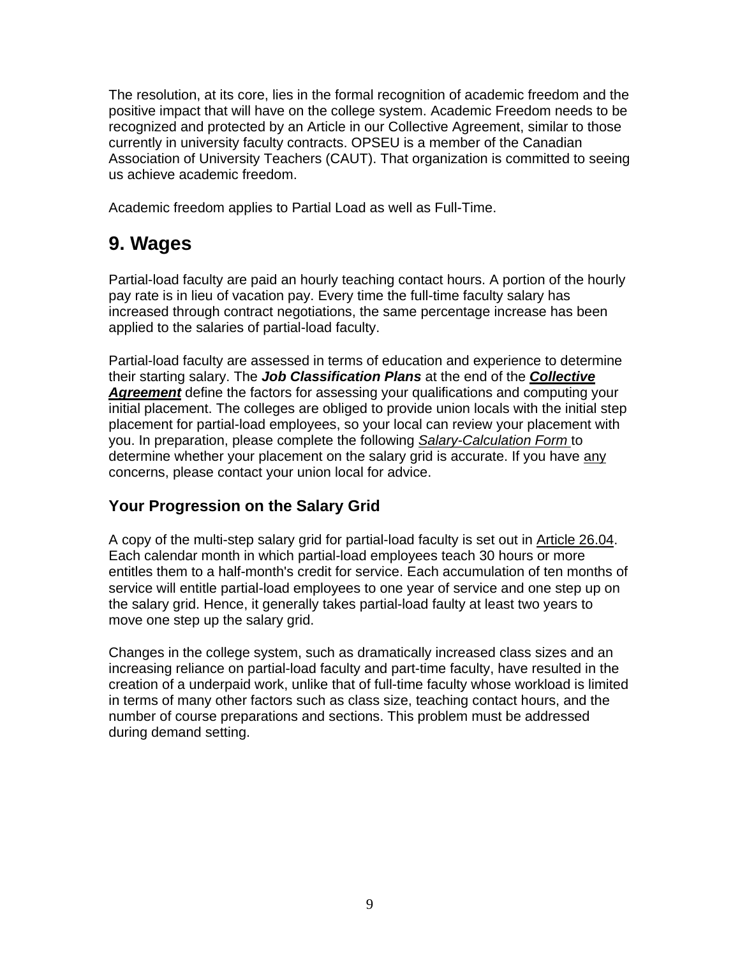<span id="page-9-0"></span>The resolution, at its core, lies in the formal recognition of academic freedom and the positive impact that will have on the college system. Academic Freedom needs to be recognized and protected by an Article in our Collective Agreement, similar to those currently in university faculty contracts. OPSEU is a member of the Canadian Association of University Teachers (CAUT). That organization is committed to seeing us achieve academic freedom.

Academic freedom applies to Partial Load as well as Full-Time.

### **9. Wages**

Partial-load faculty are paid an hourly teaching contact hours. A portion of the hourly pay rate is in lieu of vacation pay. Every time the full-time faculty salary has increased through contract negotiations, the same percentage increase has been applied to the salaries of partial-load faculty.

Partial-load faculty are assessed in terms of education and experience to determine their starting salary. The *Job Classification Plans* at the end of the *[Collective](http://www.opseu.org/caat/caat_ac/ca.htm)  [Agreement](http://www.opseu.org/caat/caat_ac/ca.htm)* define the factors for assessing your qualifications and computing your initial placement. The colleges are obliged to provide union locals with the initial step placement for partial-load employees, so your local can review your placement with you. In preparation, please complete the following *[Salary-Calculation Form](http://opseu560.org/SalaryCalc.pdf)* to determine whether your placement on the salary grid is accurate. If you have any concerns, please contact your union local for advice.

#### **Your Progression on the Salary Grid**

A copy of the multi-step salary grid for partial-load faculty is set out in [Article 26.04](http://www.opseu.org/caat/caat_ac/ca.htm). Each calendar month in which partial-load employees teach 30 hours or more entitles them to a half-month's credit for service. Each accumulation of ten months of service will entitle partial-load employees to one year of service and one step up on the salary grid. Hence, it generally takes partial-load faulty at least two years to move one step up the salary grid.

Changes in the college system, such as dramatically increased class sizes and an increasing reliance on partial-load faculty and part-time faculty, have resulted in the creation of a underpaid work, unlike that of full-time faculty whose workload is limited in terms of many other factors such as class size, teaching contact hours, and the number of course preparations and sections. This problem must be addressed during demand setting.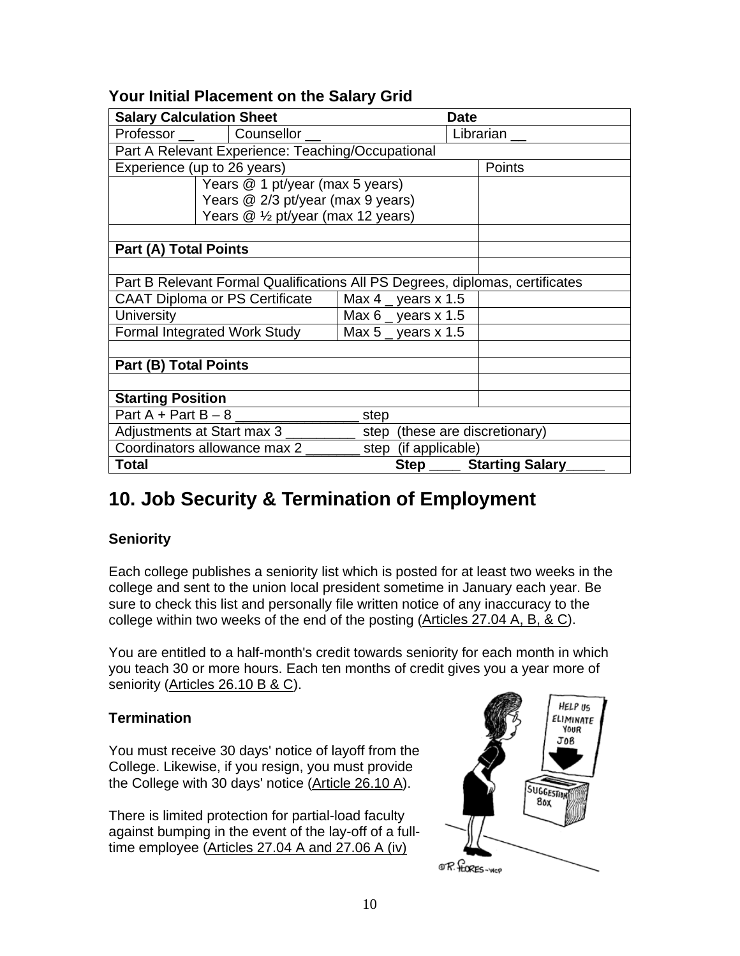#### <span id="page-10-0"></span>**Your Initial Placement on the Salary Grid**

| <b>Salary Calculation Sheet</b>                                              |  |      | <b>Date</b>           |        |                             |  |
|------------------------------------------------------------------------------|--|------|-----------------------|--------|-----------------------------|--|
| Professor __   Counsellor _                                                  |  |      |                       |        | Librarian                   |  |
| Part A Relevant Experience: Teaching/Occupational                            |  |      |                       |        |                             |  |
| Experience (up to 26 years)                                                  |  |      |                       | Points |                             |  |
| Years @ 1 pt/year (max 5 years)                                              |  |      |                       |        |                             |  |
| Years @ 2/3 pt/year (max 9 years)                                            |  |      |                       |        |                             |  |
| Years @ 1/2 pt/year (max 12 years)                                           |  |      |                       |        |                             |  |
|                                                                              |  |      |                       |        |                             |  |
| <b>Part (A) Total Points</b>                                                 |  |      |                       |        |                             |  |
|                                                                              |  |      |                       |        |                             |  |
| Part B Relevant Formal Qualifications All PS Degrees, diplomas, certificates |  |      |                       |        |                             |  |
| <b>CAAT Diploma or PS Certificate</b>                                        |  |      | Max 4 gears x 1.5     |        |                             |  |
| <b>University</b>                                                            |  |      | Max 6 g years $x$ 1.5 |        |                             |  |
| <b>Formal Integrated Work Study</b>                                          |  |      | Max $5$ _ years x 1.5 |        |                             |  |
|                                                                              |  |      |                       |        |                             |  |
| <b>Part (B) Total Points</b>                                                 |  |      |                       |        |                             |  |
|                                                                              |  |      |                       |        |                             |  |
| <b>Starting Position</b>                                                     |  |      |                       |        |                             |  |
| Part $A + Part B - 8$                                                        |  | step |                       |        |                             |  |
| Adjustments at Start max 3<br>step (these are discretionary)                 |  |      |                       |        |                             |  |
| Coordinators allowance max 2                                                 |  |      | step (if applicable)  |        |                             |  |
| Total                                                                        |  |      |                       |        | Step _____ Starting Salary_ |  |

### **10. Job Security & Termination of Employment**

#### **Seniority**

Each college publishes a seniority list which is posted for at least two weeks in the college and sent to the union local president sometime in January each year. Be sure to check this list and personally file written notice of any inaccuracy to the college within two weeks of the end of the posting ([Articles 27.04 A, B, & C\)](http://www.opseu.org/caat/caat_ac/ca.htm).

You are entitled to a half-month's credit towards seniority for each month in which you teach 30 or more hours. Each ten months of credit gives you a year more of seniority ([Articles 26.10 B & C\)](http://www.opseu.org/caat/caat_ac/ca.htm).

#### **Termination**

You must receive 30 days' notice of layoff from the College. Likewise, if you resign, you must provide the College with 30 days' notice [\(Article 26.10 A](http://www.opseu.org/caat/caat_ac/ca.htm)).

There is limited protection for partial-load faculty against bumping in the event of the lay-off of a fulltime employee ([Articles 27.04 A and 27.06 A \(iv\)](http://www.opseu.org/caat/caat_ac/ca.htm) 

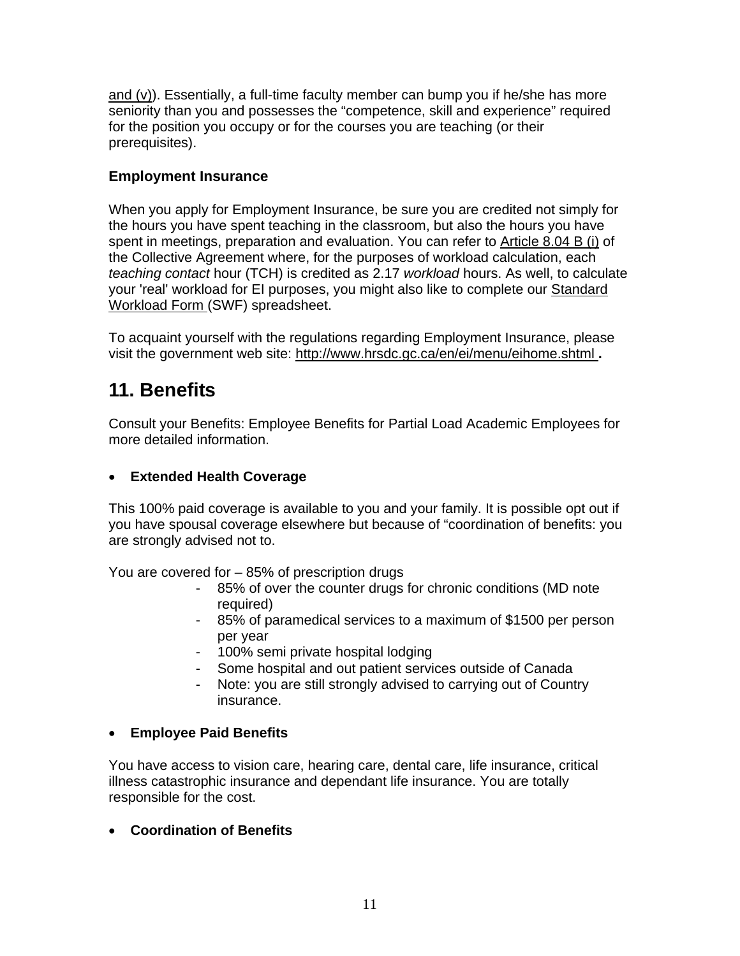<span id="page-11-0"></span>and  $(v)$ ). Essentially, a full-time faculty member can bump you if he/she has more seniority than you and possesses the "competence, skill and experience" required for the position you occupy or for the courses you are teaching (or their prerequisites).

#### **Employment Insurance**

When you apply for Employment Insurance, be sure you are credited not simply for the hours you have spent teaching in the classroom, but also the hours you have spent in meetings, preparation and evaluation. You can refer to [Article 8.04 B \(i\)](http://www.opseu.org/caat/caat_ac/ca.htm) of the Collective Agreement where, for the purposes of workload calculation, each *teaching contact* hour (TCH) is credited as 2.17 *workload* hours. As well, to calculate your 'real' workload for EI purposes, you might also like to complete our [Standard](http://opseu560.org/SWF-Calc.xls)  [Workload Form \(](http://opseu560.org/SWF-Calc.xls)SWF) spreadsheet.

To acquaint yourself with the regulations regarding Employment Insurance, please visit the government web site: <http://www.hrsdc.gc.ca/en/ei/menu/eihome.shtml>**.** 

### **11. Benefits**

Consult your Benefits: Employee Benefits for Partial Load Academic Employees for more detailed information.

#### • **Extended Health Coverage**

This 100% paid coverage is available to you and your family. It is possible opt out if you have spousal coverage elsewhere but because of "coordination of benefits: you are strongly advised not to.

You are covered for – 85% of prescription drugs

- 85% of over the counter drugs for chronic conditions (MD note required)
- 85% of paramedical services to a maximum of \$1500 per person per year
- 100% semi private hospital lodging
- Some hospital and out patient services outside of Canada
- Note: you are still strongly advised to carrying out of Country insurance.

#### • **Employee Paid Benefits**

You have access to vision care, hearing care, dental care, life insurance, critical illness catastrophic insurance and dependant life insurance. You are totally responsible for the cost.

#### • **Coordination of Benefits**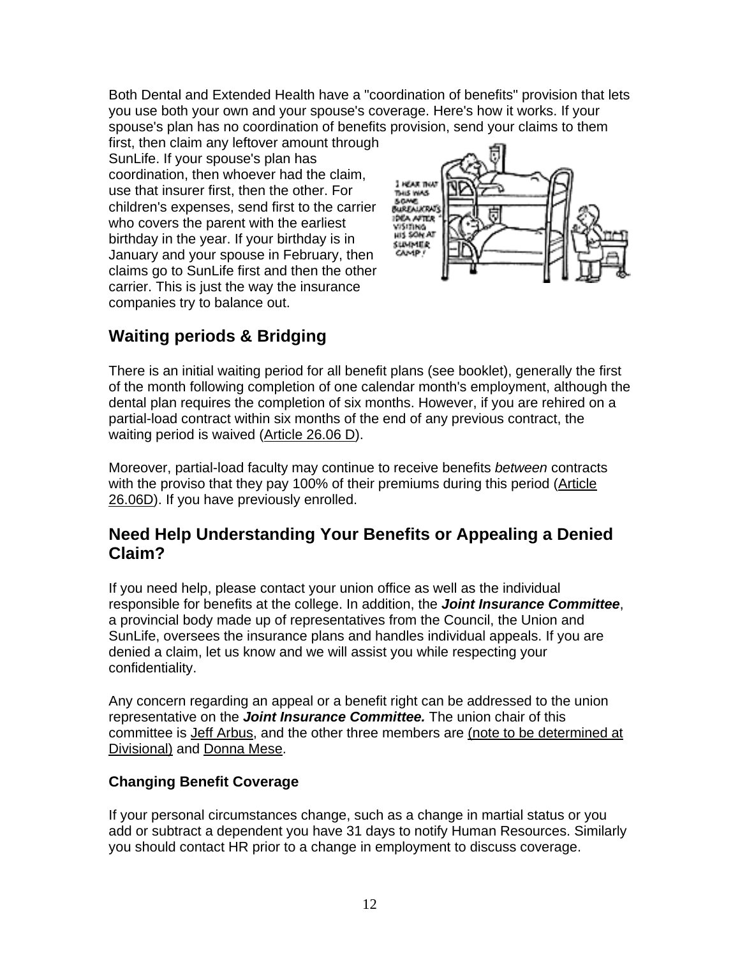Both Dental and Extended Health have a "coordination of benefits" provision that lets you use both your own and your spouse's coverage. Here's how it works. If your spouse's plan has no coordination of benefits provision, send your claims to them

first, then claim any leftover amount through SunLife. If your spouse's plan has coordination, then whoever had the claim, use that insurer first, then the other. For children's expenses, send first to the carrier who covers the parent with the earliest birthday in the year. If your birthday is in January and your spouse in February, then claims go to SunLife first and then the other carrier. This is just the way the insurance companies try to balance out.



### **Waiting periods & Bridging**

There is an initial waiting period for all benefit plans (see booklet), generally the first of the month following completion of one calendar month's employment, although the dental plan requires the completion of six months. However, if you are rehired on a partial-load contract within six months of the end of any previous contract, the waiting period is waived [\(Article 26.06 D\)](http://www.opseu.org/caat/caat_ac/ca.htm).

Moreover, partial-load faculty may continue to receive benefits *between* contracts with the proviso that they pay 100% of their premiums during this period ([Article](http://www.opseu.org/caat/caat_ac/ca.htm)  [26.06D](http://www.opseu.org/caat/caat_ac/ca.htm)). If you have previously enrolled.

#### **Need Help Understanding Your Benefits or Appealing a Denied Claim?**

If you need help, please contact your union office as well as the individual responsible for benefits at the college. In addition, the *Joint Insurance Committee*, a provincial body made up of representatives from the Council, the Union and SunLife, oversees the insurance plans and handles individual appeals. If you are denied a claim, let us know and we will assist you while respecting your confidentiality.

Any concern regarding an appeal or a benefit right can be addressed to the union representative on the *Joint Insurance Committee.* The union chair of this committee is [Jeff Arbus,](mailto:jeff_arbus@hotmail.com) and the other three members are (note to be determined at Divisional) and [Donna Mese.](mailto:happysinger1950@aol.com)

#### **Changing Benefit Coverage**

If your personal circumstances change, such as a change in martial status or you add or subtract a dependent you have 31 days to notify Human Resources. Similarly you should contact HR prior to a change in employment to discuss coverage.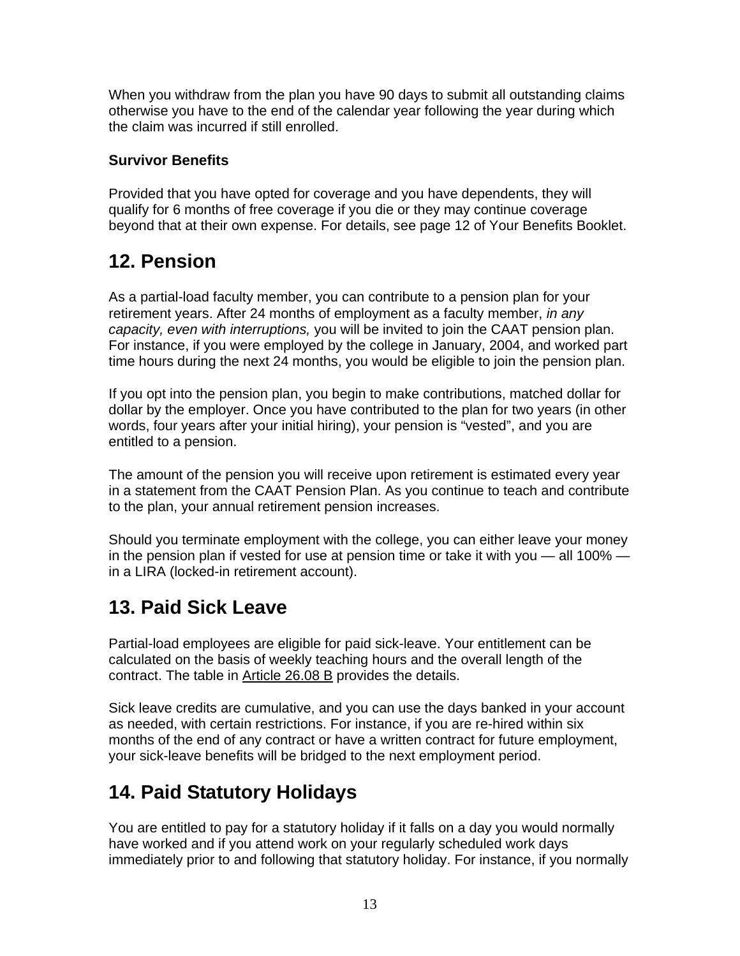<span id="page-13-0"></span>When you withdraw from the plan you have 90 days to submit all outstanding claims otherwise you have to the end of the calendar year following the year during which the claim was incurred if still enrolled.

#### **Survivor Benefits**

Provided that you have opted for coverage and you have dependents, they will qualify for 6 months of free coverage if you die or they may continue coverage beyond that at their own expense. For details, see page 12 of Your Benefits Booklet.

### **12. Pension**

As a partial-load faculty member, you can contribute to a pension plan for your retirement years. After 24 months of employment as a faculty member, *in any capacity, even with interruptions,* you will be invited to join the CAAT pension plan. For instance, if you were employed by the college in January, 2004, and worked part time hours during the next 24 months, you would be eligible to join the pension plan.

If you opt into the pension plan, you begin to make contributions, matched dollar for dollar by the employer. Once you have contributed to the plan for two years (in other words, four years after your initial hiring), your pension is "vested", and you are entitled to a pension.

The amount of the pension you will receive upon retirement is estimated every year in a statement from the CAAT Pension Plan. As you continue to teach and contribute to the plan, your annual retirement pension increases.

Should you terminate employment with the college, you can either leave your money in the pension plan if vested for use at pension time or take it with you — all 100% in a LIRA (locked-in retirement account).

### **13. Paid Sick Leave**

Partial-load employees are eligible for paid sick-leave. Your entitlement can be calculated on the basis of weekly teaching hours and the overall length of the contract. The table in [Article 26.08 B](http://www.opseu.org/caat/caat_ac/ca.htm) provides the details.

Sick leave credits are cumulative, and you can use the days banked in your account as needed, with certain restrictions. For instance, if you are re-hired within six months of the end of any contract or have a written contract for future employment, your sick-leave benefits will be bridged to the next employment period.

## **14. Paid Statutory Holidays**

You are entitled to pay for a statutory holiday if it falls on a day you would normally have worked and if you attend work on your regularly scheduled work days immediately prior to and following that statutory holiday. For instance, if you normally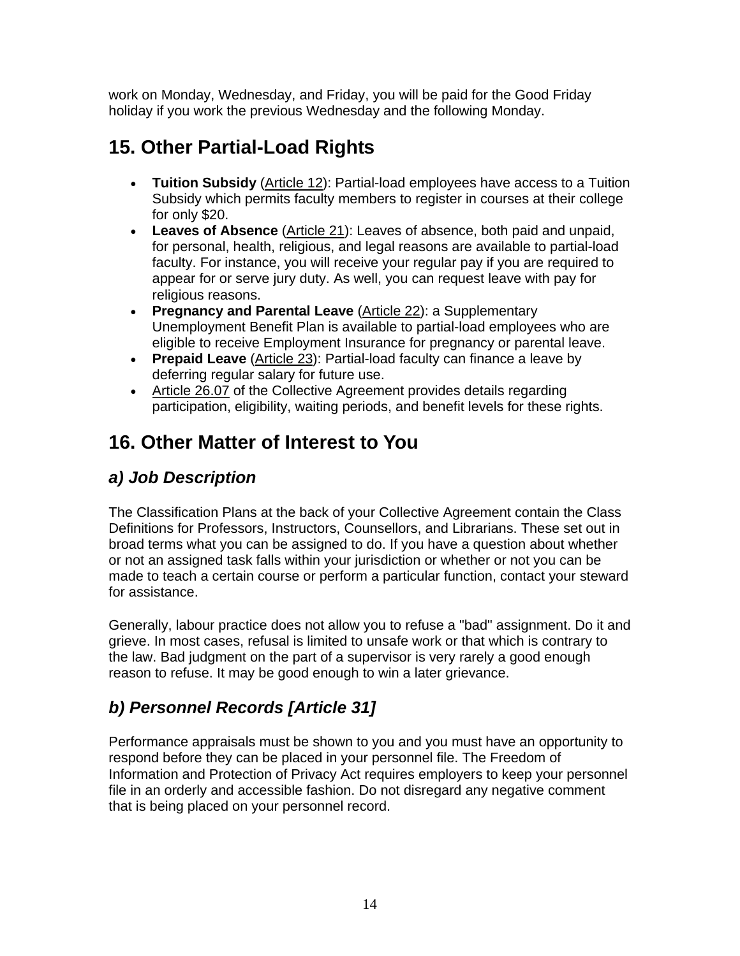<span id="page-14-0"></span>work on Monday, Wednesday, and Friday, you will be paid for the Good Friday holiday if you work the previous Wednesday and the following Monday.

### **15. Other Partial-Load Rights**

- **Tuition Subsidy** [\(Article 12](http://www.opseu.org/caat/caat_ac/ca.htm)): Partial-load employees have access to a Tuition Subsidy which permits faculty members to register in courses at their college for only \$20.
- **Leaves of Absence** [\(Article 21](http://www.opseu.org/caat/caat_ac/ca.htm)): Leaves of absence, both paid and unpaid, for personal, health, religious, and legal reasons are available to partial-load faculty. For instance, you will receive your regular pay if you are required to appear for or serve jury duty. As well, you can request leave with pay for religious reasons.
- **Pregnancy and Parental Leave** ([Article 22\)](http://www.opseu.org/caat/caat_ac/ca.htm): a Supplementary Unemployment Benefit Plan is available to partial-load employees who are eligible to receive Employment Insurance for pregnancy or parental leave.
- **Prepaid Leave** [\(Article 23\)](http://www.opseu.org/caat/caat_ac/ca.htm): Partial-load faculty can finance a leave by deferring regular salary for future use.
- [Article 26.07](http://www.opseu.org/caat/caat_ac/ca.htm) of the Collective Agreement provides details regarding participation, eligibility, waiting periods, and benefit levels for these rights.

### **16. Other Matter of Interest to You**

### *a) Job Description*

The Classification Plans at the back of your Collective Agreement contain the Class Definitions for Professors, Instructors, Counsellors, and Librarians. These set out in broad terms what you can be assigned to do. If you have a question about whether or not an assigned task falls within your jurisdiction or whether or not you can be made to teach a certain course or perform a particular function, contact your steward for assistance.

Generally, labour practice does not allow you to refuse a "bad" assignment. Do it and grieve. In most cases, refusal is limited to unsafe work or that which is contrary to the law. Bad judgment on the part of a supervisor is very rarely a good enough reason to refuse. It may be good enough to win a later grievance.

### *b) Personnel Records [Article 31]*

Performance appraisals must be shown to you and you must have an opportunity to respond before they can be placed in your personnel file. The Freedom of Information and Protection of Privacy Act requires employers to keep your personnel file in an orderly and accessible fashion. Do not disregard any negative comment that is being placed on your personnel record.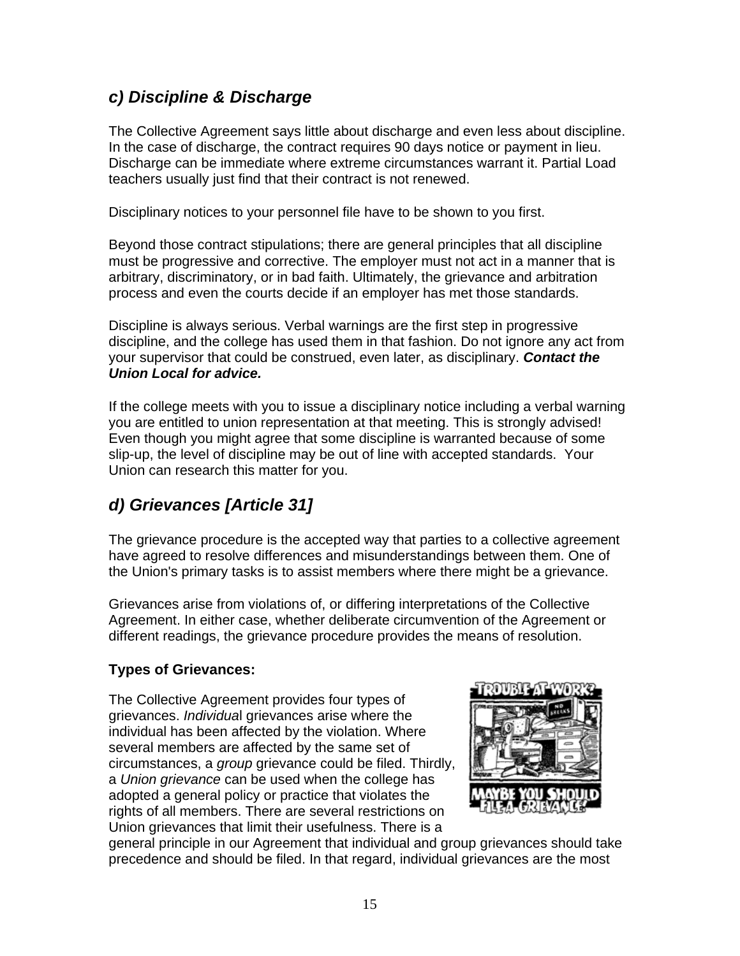### <span id="page-15-0"></span>*c) Discipline & Discharge*

The Collective Agreement says little about discharge and even less about discipline. In the case of discharge, the contract requires 90 days notice or payment in lieu. Discharge can be immediate where extreme circumstances warrant it. Partial Load teachers usually just find that their contract is not renewed.

Disciplinary notices to your personnel file have to be shown to you first.

Beyond those contract stipulations; there are general principles that all discipline must be progressive and corrective. The employer must not act in a manner that is arbitrary, discriminatory, or in bad faith. Ultimately, the grievance and arbitration process and even the courts decide if an employer has met those standards.

Discipline is always serious. Verbal warnings are the first step in progressive discipline, and the college has used them in that fashion. Do not ignore any act from your supervisor that could be construed, even later, as disciplinary. *Contact the Union Local for advice.*

If the college meets with you to issue a disciplinary notice including a verbal warning you are entitled to union representation at that meeting. This is strongly advised! Even though you might agree that some discipline is warranted because of some slip-up, the level of discipline may be out of line with accepted standards. Your Union can research this matter for you.

### *d) Grievances [Article 31]*

The grievance procedure is the accepted way that parties to a collective agreement have agreed to resolve differences and misunderstandings between them. One of the Union's primary tasks is to assist members where there might be a grievance.

Grievances arise from violations of, or differing interpretations of the Collective Agreement. In either case, whether deliberate circumvention of the Agreement or different readings, the grievance procedure provides the means of resolution.

#### **Types of Grievances:**

The Collective Agreement provides four types of grievances. *Individua*l grievances arise where the individual has been affected by the violation. Where several members are affected by the same set of circumstances, a *group* grievance could be filed. Thirdly, a *Union grievance* can be used when the college has adopted a general policy or practice that violates the rights of all members. There are several restrictions on Union grievances that limit their usefulness. There is a



general principle in our Agreement that individual and group grievances should take precedence and should be filed. In that regard, individual grievances are the most